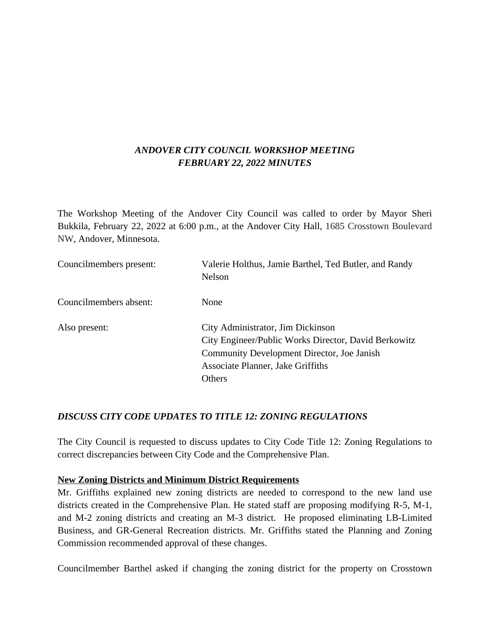# *ANDOVER CITY COUNCIL WORKSHOP MEETING FEBRUARY 22, 2022 MINUTES*

The Workshop Meeting of the Andover City Council was called to order by Mayor Sheri Bukkila, February 22, 2022 at 6:00 p.m., at the Andover City Hall, 1685 Crosstown Boulevard NW, Andover, Minnesota.

| Councilmembers present: | Valerie Holthus, Jamie Barthel, Ted Butler, and Randy<br>Nelson                                                                                                                        |
|-------------------------|----------------------------------------------------------------------------------------------------------------------------------------------------------------------------------------|
| Councilmembers absent:  | None                                                                                                                                                                                   |
| Also present:           | City Administrator, Jim Dickinson<br>City Engineer/Public Works Director, David Berkowitz<br>Community Development Director, Joe Janish<br>Associate Planner, Jake Griffiths<br>Others |

### *DISCUSS CITY CODE UPDATES TO TITLE 12: ZONING REGULATIONS*

The City Council is requested to discuss updates to City Code Title 12: Zoning Regulations to correct discrepancies between City Code and the Comprehensive Plan.

#### **New Zoning Districts and Minimum District Requirements**

Mr. Griffiths explained new zoning districts are needed to correspond to the new land use districts created in the Comprehensive Plan. He stated staff are proposing modifying R-5, M-1, and M-2 zoning districts and creating an M-3 district. He proposed eliminating LB-Limited Business, and GR-General Recreation districts. Mr. Griffiths stated the Planning and Zoning Commission recommended approval of these changes.

Councilmember Barthel asked if changing the zoning district for the property on Crosstown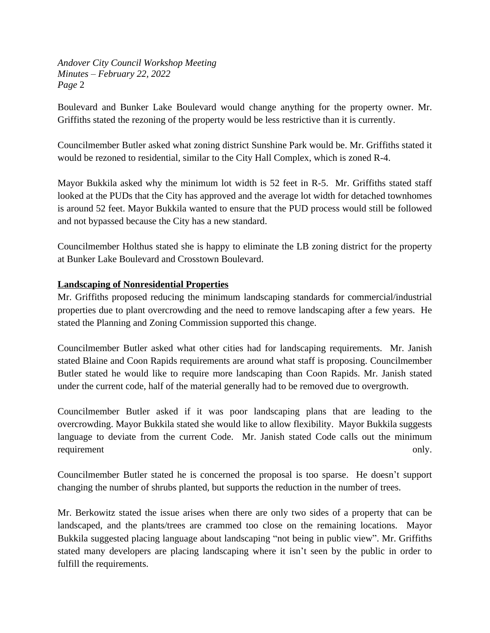Boulevard and Bunker Lake Boulevard would change anything for the property owner. Mr. Griffiths stated the rezoning of the property would be less restrictive than it is currently.

Councilmember Butler asked what zoning district Sunshine Park would be. Mr. Griffiths stated it would be rezoned to residential, similar to the City Hall Complex, which is zoned R-4.

Mayor Bukkila asked why the minimum lot width is 52 feet in R-5. Mr. Griffiths stated staff looked at the PUDs that the City has approved and the average lot width for detached townhomes is around 52 feet. Mayor Bukkila wanted to ensure that the PUD process would still be followed and not bypassed because the City has a new standard.

Councilmember Holthus stated she is happy to eliminate the LB zoning district for the property at Bunker Lake Boulevard and Crosstown Boulevard.

### **Landscaping of Nonresidential Properties**

Mr. Griffiths proposed reducing the minimum landscaping standards for commercial/industrial properties due to plant overcrowding and the need to remove landscaping after a few years. He stated the Planning and Zoning Commission supported this change.

Councilmember Butler asked what other cities had for landscaping requirements. Mr. Janish stated Blaine and Coon Rapids requirements are around what staff is proposing. Councilmember Butler stated he would like to require more landscaping than Coon Rapids. Mr. Janish stated under the current code, half of the material generally had to be removed due to overgrowth.

Councilmember Butler asked if it was poor landscaping plans that are leading to the overcrowding. Mayor Bukkila stated she would like to allow flexibility. Mayor Bukkila suggests language to deviate from the current Code. Mr. Janish stated Code calls out the minimum requirement only.

Councilmember Butler stated he is concerned the proposal is too sparse. He doesn't support changing the number of shrubs planted, but supports the reduction in the number of trees.

Mr. Berkowitz stated the issue arises when there are only two sides of a property that can be landscaped, and the plants/trees are crammed too close on the remaining locations. Mayor Bukkila suggested placing language about landscaping "not being in public view". Mr. Griffiths stated many developers are placing landscaping where it isn't seen by the public in order to fulfill the requirements.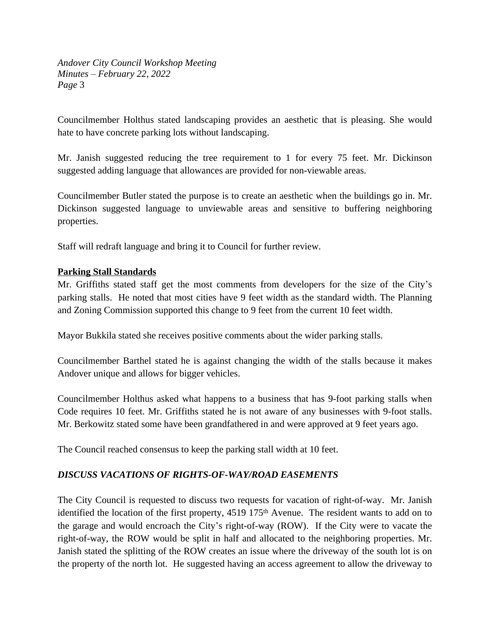Councilmember Holthus stated landscaping provides an aesthetic that is pleasing. She would hate to have concrete parking lots without landscaping.

Mr. Janish suggested reducing the tree requirement to 1 for every 75 feet. Mr. Dickinson suggested adding language that allowances are provided for non-viewable areas.

Councilmember Butler stated the purpose is to create an aesthetic when the buildings go in. Mr. Dickinson suggested language to unviewable areas and sensitive to buffering neighboring properties.

Staff will redraft language and bring it to Council for further review.

#### **Parking Stall Standards**

Mr. Griffiths stated staff get the most comments from developers for the size of the City's parking stalls. He noted that most cities have 9 feet width as the standard width. The Planning and Zoning Commission supported this change to 9 feet from the current 10 feet width.

Mayor Bukkila stated she receives positive comments about the wider parking stalls.

Councilmember Barthel stated he is against changing the width of the stalls because it makes Andover unique and allows for bigger vehicles.

Councilmember Holthus asked what happens to a business that has 9-foot parking stalls when Code requires 10 feet. Mr. Griffiths stated he is not aware of any businesses with 9-foot stalls. Mr. Berkowitz stated some have been grandfathered in and were approved at 9 feet years ago.

The Council reached consensus to keep the parking stall width at 10 feet.

### *DISCUSS VACATIONS OF RIGHTS-OF-WAY/ROAD EASEMENTS*

The City Council is requested to discuss two requests for vacation of right-of-way. Mr. Janish identified the location of the first property, 4519 175<sup>th</sup> Avenue. The resident wants to add on to the garage and would encroach the City's right-of-way (ROW). If the City were to vacate the right-of-way, the ROW would be split in half and allocated to the neighboring properties. Mr. Janish stated the splitting of the ROW creates an issue where the driveway of the south lot is on the property of the north lot. He suggested having an access agreement to allow the driveway to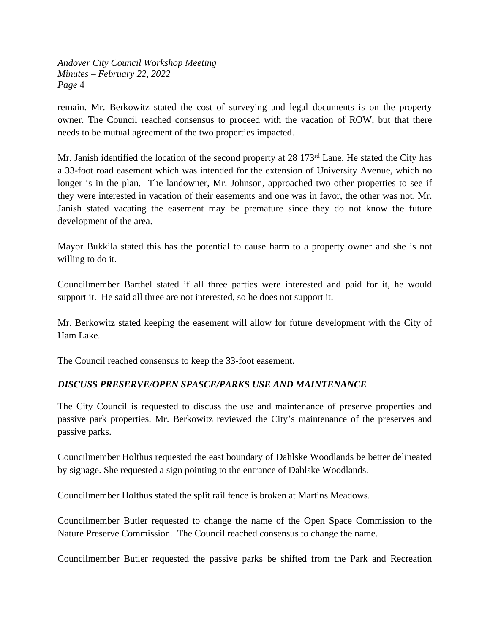remain. Mr. Berkowitz stated the cost of surveying and legal documents is on the property owner. The Council reached consensus to proceed with the vacation of ROW, but that there needs to be mutual agreement of the two properties impacted.

Mr. Janish identified the location of the second property at 28 173<sup>rd</sup> Lane. He stated the City has a 33-foot road easement which was intended for the extension of University Avenue, which no longer is in the plan. The landowner, Mr. Johnson, approached two other properties to see if they were interested in vacation of their easements and one was in favor, the other was not. Mr. Janish stated vacating the easement may be premature since they do not know the future development of the area.

Mayor Bukkila stated this has the potential to cause harm to a property owner and she is not willing to do it.

Councilmember Barthel stated if all three parties were interested and paid for it, he would support it. He said all three are not interested, so he does not support it.

Mr. Berkowitz stated keeping the easement will allow for future development with the City of Ham Lake.

The Council reached consensus to keep the 33-foot easement.

### *DISCUSS PRESERVE/OPEN SPASCE/PARKS USE AND MAINTENANCE*

The City Council is requested to discuss the use and maintenance of preserve properties and passive park properties. Mr. Berkowitz reviewed the City's maintenance of the preserves and passive parks.

Councilmember Holthus requested the east boundary of Dahlske Woodlands be better delineated by signage. She requested a sign pointing to the entrance of Dahlske Woodlands.

Councilmember Holthus stated the split rail fence is broken at Martins Meadows.

Councilmember Butler requested to change the name of the Open Space Commission to the Nature Preserve Commission. The Council reached consensus to change the name.

Councilmember Butler requested the passive parks be shifted from the Park and Recreation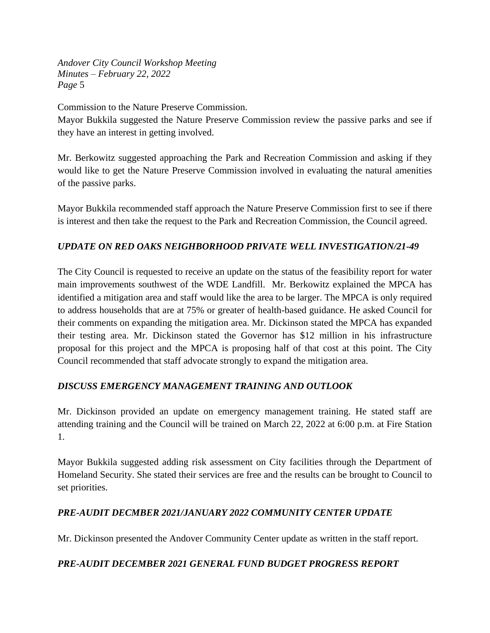Commission to the Nature Preserve Commission.

Mayor Bukkila suggested the Nature Preserve Commission review the passive parks and see if they have an interest in getting involved.

Mr. Berkowitz suggested approaching the Park and Recreation Commission and asking if they would like to get the Nature Preserve Commission involved in evaluating the natural amenities of the passive parks.

Mayor Bukkila recommended staff approach the Nature Preserve Commission first to see if there is interest and then take the request to the Park and Recreation Commission, the Council agreed.

# *UPDATE ON RED OAKS NEIGHBORHOOD PRIVATE WELL INVESTIGATION/21-49*

The City Council is requested to receive an update on the status of the feasibility report for water main improvements southwest of the WDE Landfill. Mr. Berkowitz explained the MPCA has identified a mitigation area and staff would like the area to be larger. The MPCA is only required to address households that are at 75% or greater of health-based guidance. He asked Council for their comments on expanding the mitigation area. Mr. Dickinson stated the MPCA has expanded their testing area. Mr. Dickinson stated the Governor has \$12 million in his infrastructure proposal for this project and the MPCA is proposing half of that cost at this point. The City Council recommended that staff advocate strongly to expand the mitigation area.

# *DISCUSS EMERGENCY MANAGEMENT TRAINING AND OUTLOOK*

Mr. Dickinson provided an update on emergency management training. He stated staff are attending training and the Council will be trained on March 22, 2022 at 6:00 p.m. at Fire Station 1.

Mayor Bukkila suggested adding risk assessment on City facilities through the Department of Homeland Security. She stated their services are free and the results can be brought to Council to set priorities.

# *PRE-AUDIT DECMBER 2021/JANUARY 2022 COMMUNITY CENTER UPDATE*

Mr. Dickinson presented the Andover Community Center update as written in the staff report.

# *PRE-AUDIT DECEMBER 2021 GENERAL FUND BUDGET PROGRESS REPORT*